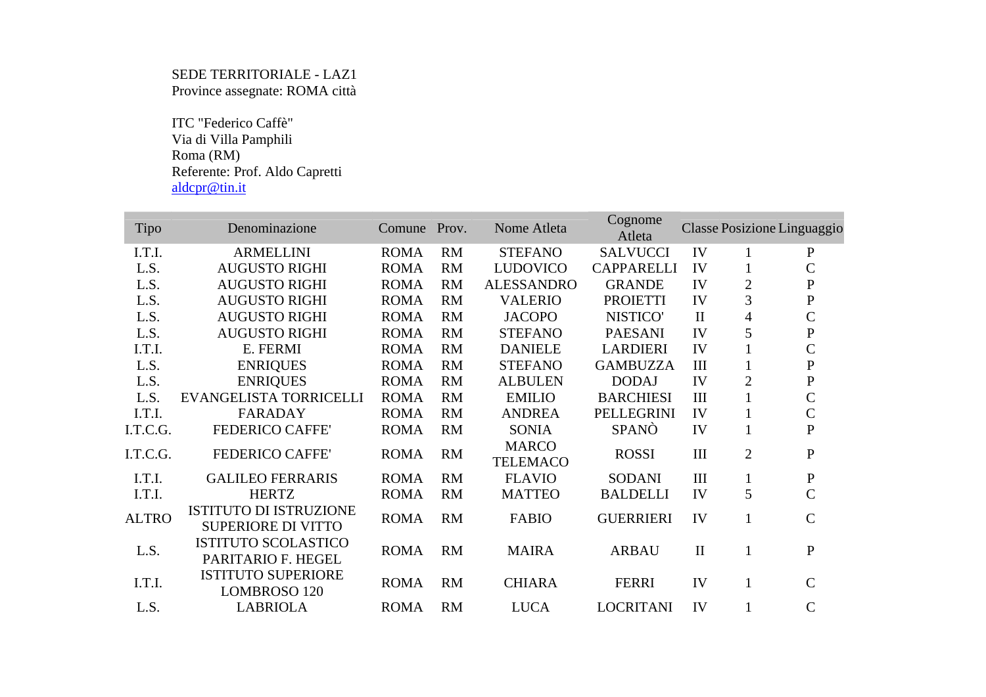## SEDE TERRITORIALE - LAZ1 Province assegnate: ROMA città

 ITC "Federico Caffè" Via di Villa Pamphili Roma (RM) Referente: Prof. Aldo Capretti aldcpr@tin.it

| Tipo         | Denominazione                                              | Comune      | Prov.     | Nome Atleta                     | Cognome<br>Atleta |              | Classe Posizione Linguaggio |                |
|--------------|------------------------------------------------------------|-------------|-----------|---------------------------------|-------------------|--------------|-----------------------------|----------------|
| I.T.I.       | <b>ARMELLINI</b>                                           | <b>ROMA</b> | <b>RM</b> | <b>STEFANO</b>                  | <b>SALVUCCI</b>   | IV           |                             | $\mathbf{P}$   |
| L.S.         | <b>AUGUSTO RIGHI</b>                                       | <b>ROMA</b> | <b>RM</b> | <b>LUDOVICO</b>                 | <b>CAPPARELLI</b> | IV           | $\mathbf 1$                 | $\mathcal{C}$  |
| L.S.         | <b>AUGUSTO RIGHI</b>                                       | <b>ROMA</b> | <b>RM</b> | <b>ALESSANDRO</b>               | <b>GRANDE</b>     | IV           | $\overline{c}$              | ${\bf P}$      |
| L.S.         | <b>AUGUSTO RIGHI</b>                                       | <b>ROMA</b> | <b>RM</b> | <b>VALERIO</b>                  | <b>PROIETTI</b>   | IV           | 3                           | ${\bf P}$      |
| L.S.         | <b>AUGUSTO RIGHI</b>                                       | <b>ROMA</b> | RM        | <b>JACOPO</b>                   | NISTICO'          | $\mathbf{I}$ | $\overline{4}$              | $\mathsf{C}$   |
| L.S.         | <b>AUGUSTO RIGHI</b>                                       | <b>ROMA</b> | <b>RM</b> | <b>STEFANO</b>                  | <b>PAESANI</b>    | IV           | 5                           | ${\bf P}$      |
| I.T.I.       | E. FERMI                                                   | <b>ROMA</b> | <b>RM</b> | <b>DANIELE</b>                  | <b>LARDIERI</b>   | IV           |                             | $\mathsf{C}$   |
| L.S.         | <b>ENRIQUES</b>                                            | <b>ROMA</b> | <b>RM</b> | <b>STEFANO</b>                  | <b>GAMBUZZA</b>   | III          |                             | ${\bf P}$      |
| L.S.         | <b>ENRIQUES</b>                                            | <b>ROMA</b> | <b>RM</b> | <b>ALBULEN</b>                  | <b>DODAJ</b>      | IV           | $\overline{c}$              | ${\bf P}$      |
| L.S.         | EVANGELISTA TORRICELLI                                     | <b>ROMA</b> | <b>RM</b> | <b>EMILIO</b>                   | <b>BARCHIESI</b>  | $\rm III$    |                             | $\mathsf{C}$   |
| I.T.I.       | <b>FARADAY</b>                                             | <b>ROMA</b> | <b>RM</b> | <b>ANDREA</b>                   | PELLEGRINI        | IV           |                             | $\mathsf{C}$   |
| I.T.C.G.     | <b>FEDERICO CAFFE'</b>                                     | <b>ROMA</b> | <b>RM</b> | <b>SONIA</b>                    | <b>SPANO</b>      | IV           | $\mathbf{1}$                | $\mathbf{P}$   |
| I.T.C.G.     | <b>FEDERICO CAFFE'</b>                                     | <b>ROMA</b> | <b>RM</b> | <b>MARCO</b><br><b>TELEMACO</b> | <b>ROSSI</b>      | $\rm III$    | $\overline{2}$              | $\mathbf{P}$   |
| I.T.I.       | <b>GALILEO FERRARIS</b>                                    | <b>ROMA</b> | RM        | <b>FLAVIO</b>                   | <b>SODANI</b>     | III          | $\mathbf 1$                 | ${\bf P}$      |
| I.T.I.       | <b>HERTZ</b>                                               | <b>ROMA</b> | <b>RM</b> | <b>MATTEO</b>                   | <b>BALDELLI</b>   | IV           | 5                           | $\mathcal{C}$  |
| <b>ALTRO</b> | <b>ISTITUTO DI ISTRUZIONE</b><br><b>SUPERIORE DI VITTO</b> | <b>ROMA</b> | RM        | <b>FABIO</b>                    | <b>GUERRIERI</b>  | IV           |                             | $\overline{C}$ |
| L.S.         | <b>ISTITUTO SCOLASTICO</b><br>PARITARIO F. HEGEL           | <b>ROMA</b> | <b>RM</b> | <b>MAIRA</b>                    | <b>ARBAU</b>      | $\mathbf{I}$ |                             | ${\bf P}$      |
| I.T.I.       | <b>ISTITUTO SUPERIORE</b><br>LOMBROSO 120                  | <b>ROMA</b> | RM        | <b>CHIARA</b>                   | <b>FERRI</b>      | IV           | $\mathbf{1}$                | $\mathsf{C}$   |
| L.S.         | <b>LABRIOLA</b>                                            | <b>ROMA</b> | RM        | <b>LUCA</b>                     | <b>LOCRITANI</b>  | IV           |                             | $\mathbf C$    |